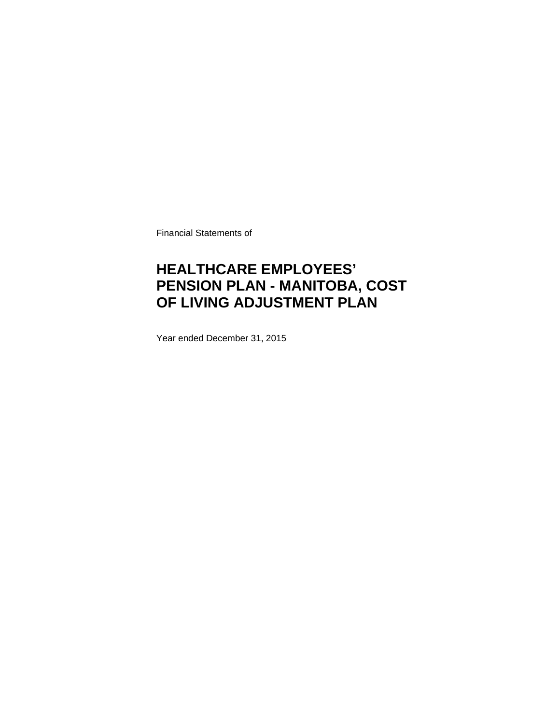Financial Statements of

## **HEALTHCARE EMPLOYEES' PENSION PLAN - MANITOBA, COST OF LIVING ADJUSTMENT PLAN**

Year ended December 31, 2015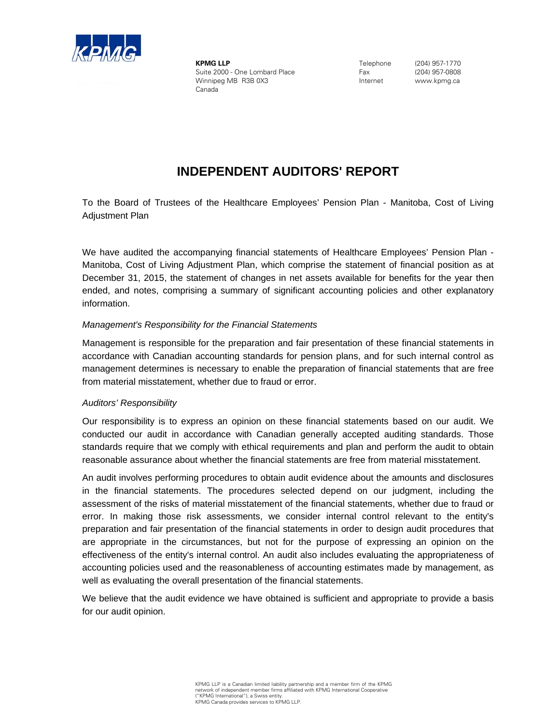

**KPMG LLP** Suite 2000 - One Lombard Place Winnipeg MB R3B 0X3 Canada

Telephone Fax Internet

(204) 957-1770 (204) 957-0808 www.kpmg.ca

### **INDEPENDENT AUDITORS' REPORT**

To the Board of Trustees of the Healthcare Employees' Pension Plan - Manitoba, Cost of Living Adjustment Plan

We have audited the accompanying financial statements of Healthcare Employees' Pension Plan - Manitoba, Cost of Living Adjustment Plan, which comprise the statement of financial position as at December 31, 2015, the statement of changes in net assets available for benefits for the year then ended, and notes, comprising a summary of significant accounting policies and other explanatory information.

### *Management's Responsibility for the Financial Statements*

Management is responsible for the preparation and fair presentation of these financial statements in accordance with Canadian accounting standards for pension plans, and for such internal control as management determines is necessary to enable the preparation of financial statements that are free from material misstatement, whether due to fraud or error.

#### *Auditors' Responsibility*

Our responsibility is to express an opinion on these financial statements based on our audit. We conducted our audit in accordance with Canadian generally accepted auditing standards. Those standards require that we comply with ethical requirements and plan and perform the audit to obtain reasonable assurance about whether the financial statements are free from material misstatement.

An audit involves performing procedures to obtain audit evidence about the amounts and disclosures in the financial statements. The procedures selected depend on our judgment, including the assessment of the risks of material misstatement of the financial statements, whether due to fraud or error. In making those risk assessments, we consider internal control relevant to the entity's preparation and fair presentation of the financial statements in order to design audit procedures that are appropriate in the circumstances, but not for the purpose of expressing an opinion on the effectiveness of the entity's internal control. An audit also includes evaluating the appropriateness of accounting policies used and the reasonableness of accounting estimates made by management, as well as evaluating the overall presentation of the financial statements.

We believe that the audit evidence we have obtained is sufficient and appropriate to provide a basis for our audit opinion.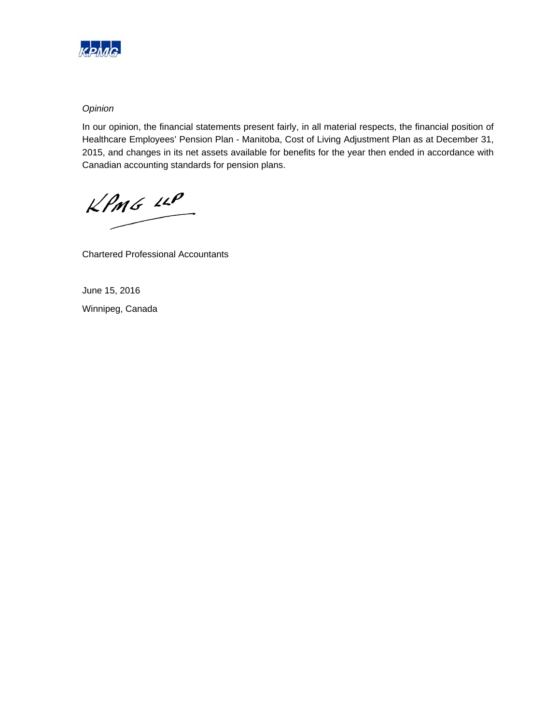

### *Opinion*

In our opinion, the financial statements present fairly, in all material respects, the financial position of Healthcare Employees' Pension Plan - Manitoba, Cost of Living Adjustment Plan as at December 31, 2015, and changes in its net assets available for benefits for the year then ended in accordance with Canadian accounting standards for pension plans.

 $KPMG$  14P

Chartered Professional Accountants

June 15, 2016 Winnipeg, Canada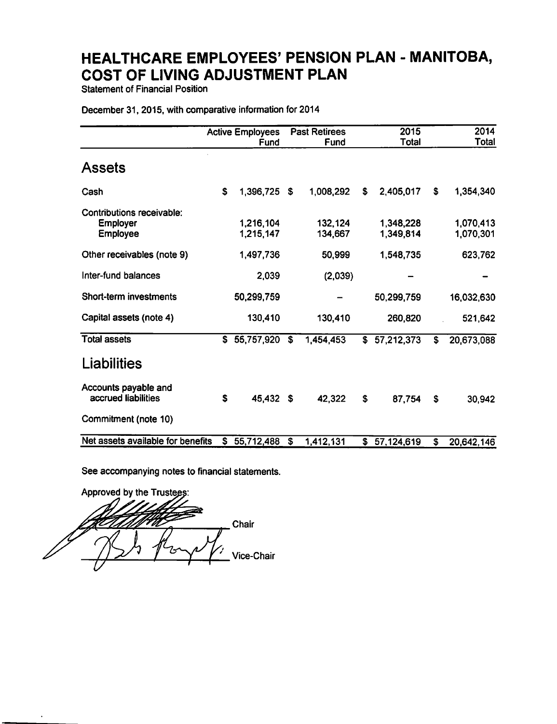**Statement of Financial Position** 

#### December 31, 2015, with comparative information for 2014

|                                                                 |    | <b>Active Employees</b><br>Fund |              | <b>Past Retirees</b><br>Fund |    | 2015<br>Total          |                         | 2014<br>Total          |
|-----------------------------------------------------------------|----|---------------------------------|--------------|------------------------------|----|------------------------|-------------------------|------------------------|
| <b>Assets</b>                                                   |    |                                 |              |                              |    |                        |                         |                        |
| Cash                                                            | S  | 1,396,725                       | \$           | 1,008,292                    | S  | 2,405,017              | \$                      | 1,354,340              |
| Contributions receivable:<br><b>Employer</b><br><b>Employee</b> |    | 1,216,104<br>1,215,147          |              | 132,124<br>134,667           |    | 1,348,228<br>1,349,814 |                         | 1,070,413<br>1,070,301 |
| Other receivables (note 9)                                      |    | 1,497,736                       |              | 50,999                       |    | 1,548,735              |                         | 623,762                |
| Inter-fund balances                                             |    | 2,039                           |              | (2,039)                      |    |                        |                         |                        |
| <b>Short-term investments</b>                                   |    | 50,299,759                      |              |                              |    | 50,299,759             |                         | 16,032,630             |
| Capital assets (note 4)                                         |    | 130,410                         |              | 130,410                      |    | 260,820                |                         | 521,642                |
| <b>Total assets</b>                                             | S. | 55,757,920                      | $\mathbf{s}$ | 1,454,453                    | \$ | 57,212,373             | \$                      | 20,673,088             |
| Liabilities                                                     |    |                                 |              |                              |    |                        |                         |                        |
| Accounts payable and<br>accrued liabilities                     | \$ | 45,432                          | - \$         | 42,322                       | \$ | 87,754                 | S                       | 30,942                 |
| Commitment (note 10)                                            |    |                                 |              |                              |    |                        |                         |                        |
| Net assets available for benefits                               | S  | 55,712,488                      | S            | 1,412,131                    | \$ | 57,124,619             | $\overline{\mathbf{s}}$ | 20,642,146             |

See accompanying notes to financial statements.

Approved by the Trustees: Chair Vice-Chair

 $\bullet$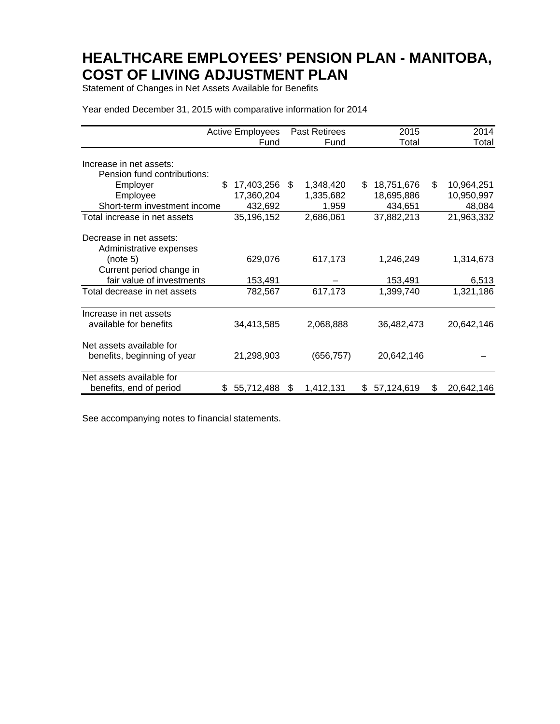Statement of Changes in Net Assets Available for Benefits

| Year ended December 31, 2015 with comparative information for 2014 |  |  |
|--------------------------------------------------------------------|--|--|
|--------------------------------------------------------------------|--|--|

|                                                                                            | <b>Active Employees</b>                    | <b>Past Retirees</b>                  | 2015                                       | 2014                                     |
|--------------------------------------------------------------------------------------------|--------------------------------------------|---------------------------------------|--------------------------------------------|------------------------------------------|
|                                                                                            | Fund                                       | Fund                                  | Total                                      | Total                                    |
| Increase in net assets:<br>Pension fund contributions:                                     |                                            |                                       |                                            |                                          |
| Employer<br>Employee<br>Short-term investment income                                       | \$.<br>17,403,256<br>17,360,204<br>432,692 | S.<br>1,348,420<br>1,335,682<br>1,959 | 18,751,676<br>\$.<br>18,695,886<br>434,651 | \$<br>10,964,251<br>10,950,997<br>48,084 |
| Total increase in net assets                                                               | 35,196,152                                 | 2,686,061                             | 37,882,213                                 | 21,963,332                               |
| Decrease in net assets:<br>Administrative expenses<br>(note 5)<br>Current period change in | 629,076                                    | 617,173                               | 1,246,249                                  | 1,314,673                                |
| fair value of investments                                                                  | 153,491                                    |                                       | 153,491                                    | 6,513                                    |
| Total decrease in net assets                                                               | 782,567                                    | 617,173                               | 1,399,740                                  | 1,321,186                                |
| Increase in net assets<br>available for benefits                                           | 34,413,585                                 | 2,068,888                             | 36,482,473                                 | 20,642,146                               |
| Net assets available for<br>benefits, beginning of year                                    | 21,298,903                                 | (656, 757)                            | 20,642,146                                 |                                          |
| Net assets available for<br>benefits, end of period                                        | 55,712,488<br>S.                           | 1,412,131<br>\$                       | 57,124,619<br>\$.                          | 20,642,146<br>S                          |

See accompanying notes to financial statements.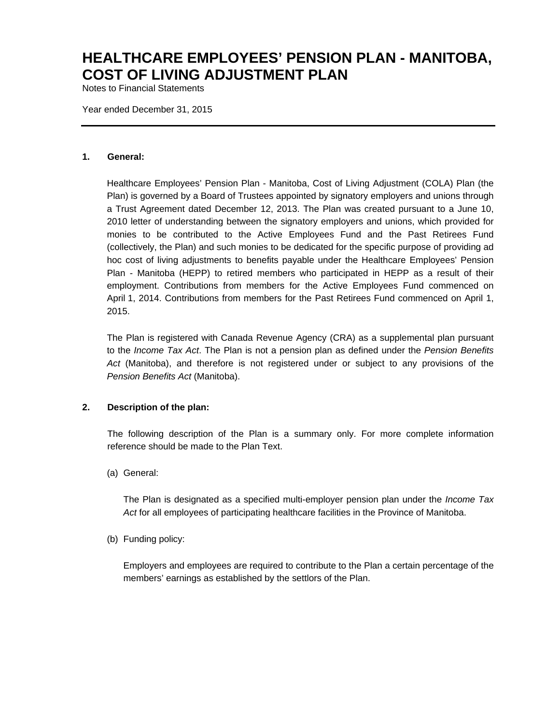Notes to Financial Statements

Year ended December 31, 2015

#### **1. General:**

Healthcare Employees' Pension Plan - Manitoba, Cost of Living Adjustment (COLA) Plan (the Plan) is governed by a Board of Trustees appointed by signatory employers and unions through a Trust Agreement dated December 12, 2013. The Plan was created pursuant to a June 10, 2010 letter of understanding between the signatory employers and unions, which provided for monies to be contributed to the Active Employees Fund and the Past Retirees Fund (collectively, the Plan) and such monies to be dedicated for the specific purpose of providing ad hoc cost of living adjustments to benefits payable under the Healthcare Employees' Pension Plan - Manitoba (HEPP) to retired members who participated in HEPP as a result of their employment. Contributions from members for the Active Employees Fund commenced on April 1, 2014. Contributions from members for the Past Retirees Fund commenced on April 1, 2015.

The Plan is registered with Canada Revenue Agency (CRA) as a supplemental plan pursuant to the *Income Tax Act*. The Plan is not a pension plan as defined under the *Pension Benefits Act* (Manitoba), and therefore is not registered under or subject to any provisions of the *Pension Benefits Act* (Manitoba).

### **2. Description of the plan:**

The following description of the Plan is a summary only. For more complete information reference should be made to the Plan Text.

(a) General:

The Plan is designated as a specified multi-employer pension plan under the *Income Tax*  Act for all employees of participating healthcare facilities in the Province of Manitoba.

(b) Funding policy:

Employers and employees are required to contribute to the Plan a certain percentage of the members' earnings as established by the settlors of the Plan.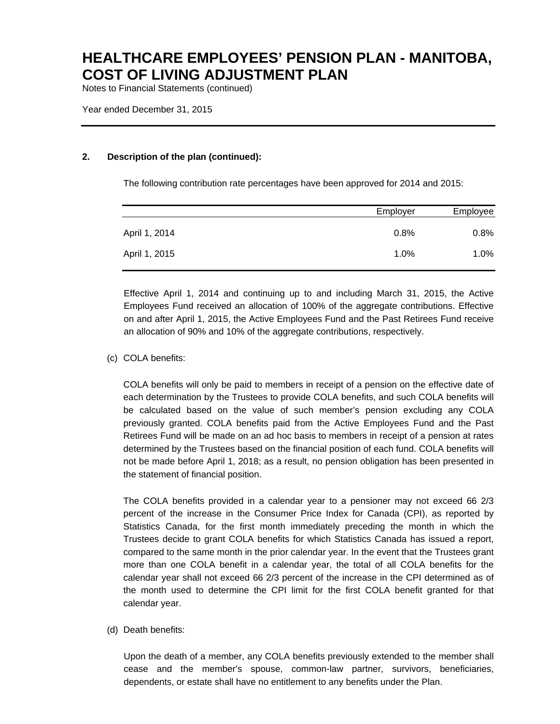Notes to Financial Statements (continued)

Year ended December 31, 2015

### **2. Description of the plan (continued):**

The following contribution rate percentages have been approved for 2014 and 2015:

|               | Employer | Employee |
|---------------|----------|----------|
| April 1, 2014 | 0.8%     | 0.8%     |
| April 1, 2015 | 1.0%     | $1.0\%$  |

Effective April 1, 2014 and continuing up to and including March 31, 2015, the Active Employees Fund received an allocation of 100% of the aggregate contributions. Effective on and after April 1, 2015, the Active Employees Fund and the Past Retirees Fund receive an allocation of 90% and 10% of the aggregate contributions, respectively.

(c) COLA benefits:

COLA benefits will only be paid to members in receipt of a pension on the effective date of each determination by the Trustees to provide COLA benefits, and such COLA benefits will be calculated based on the value of such member's pension excluding any COLA previously granted. COLA benefits paid from the Active Employees Fund and the Past Retirees Fund will be made on an ad hoc basis to members in receipt of a pension at rates determined by the Trustees based on the financial position of each fund. COLA benefits will not be made before April 1, 2018; as a result, no pension obligation has been presented in the statement of financial position.

The COLA benefits provided in a calendar year to a pensioner may not exceed 66 2/3 percent of the increase in the Consumer Price Index for Canada (CPI), as reported by Statistics Canada, for the first month immediately preceding the month in which the Trustees decide to grant COLA benefits for which Statistics Canada has issued a report, compared to the same month in the prior calendar year. In the event that the Trustees grant more than one COLA benefit in a calendar year, the total of all COLA benefits for the calendar year shall not exceed 66 2/3 percent of the increase in the CPI determined as of the month used to determine the CPI limit for the first COLA benefit granted for that calendar year.

(d) Death benefits:

Upon the death of a member, any COLA benefits previously extended to the member shall cease and the member's spouse, common-law partner, survivors, beneficiaries, dependents, or estate shall have no entitlement to any benefits under the Plan.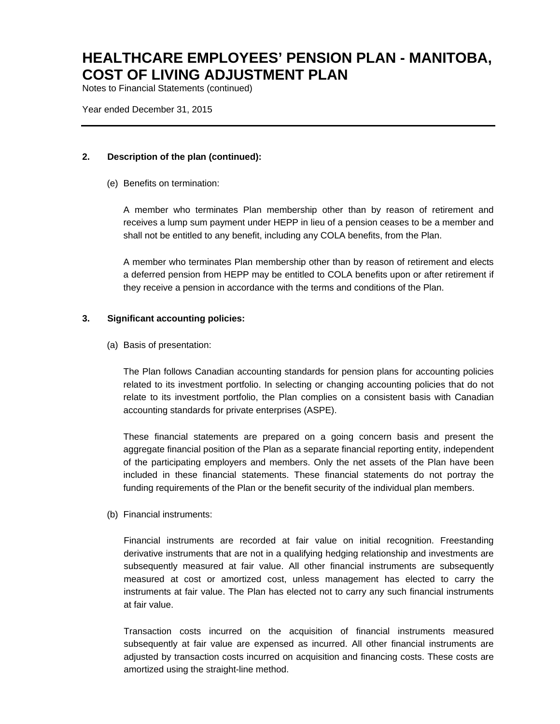Notes to Financial Statements (continued)

Year ended December 31, 2015

### **2. Description of the plan (continued):**

(e) Benefits on termination:

A member who terminates Plan membership other than by reason of retirement and receives a lump sum payment under HEPP in lieu of a pension ceases to be a member and shall not be entitled to any benefit, including any COLA benefits, from the Plan.

A member who terminates Plan membership other than by reason of retirement and elects a deferred pension from HEPP may be entitled to COLA benefits upon or after retirement if they receive a pension in accordance with the terms and conditions of the Plan.

#### **3. Significant accounting policies:**

(a) Basis of presentation:

The Plan follows Canadian accounting standards for pension plans for accounting policies related to its investment portfolio. In selecting or changing accounting policies that do not relate to its investment portfolio, the Plan complies on a consistent basis with Canadian accounting standards for private enterprises (ASPE).

These financial statements are prepared on a going concern basis and present the aggregate financial position of the Plan as a separate financial reporting entity, independent of the participating employers and members. Only the net assets of the Plan have been included in these financial statements. These financial statements do not portray the funding requirements of the Plan or the benefit security of the individual plan members.

(b) Financial instruments:

Financial instruments are recorded at fair value on initial recognition. Freestanding derivative instruments that are not in a qualifying hedging relationship and investments are subsequently measured at fair value. All other financial instruments are subsequently measured at cost or amortized cost, unless management has elected to carry the instruments at fair value. The Plan has elected not to carry any such financial instruments at fair value.

Transaction costs incurred on the acquisition of financial instruments measured subsequently at fair value are expensed as incurred. All other financial instruments are adjusted by transaction costs incurred on acquisition and financing costs. These costs are amortized using the straight-line method.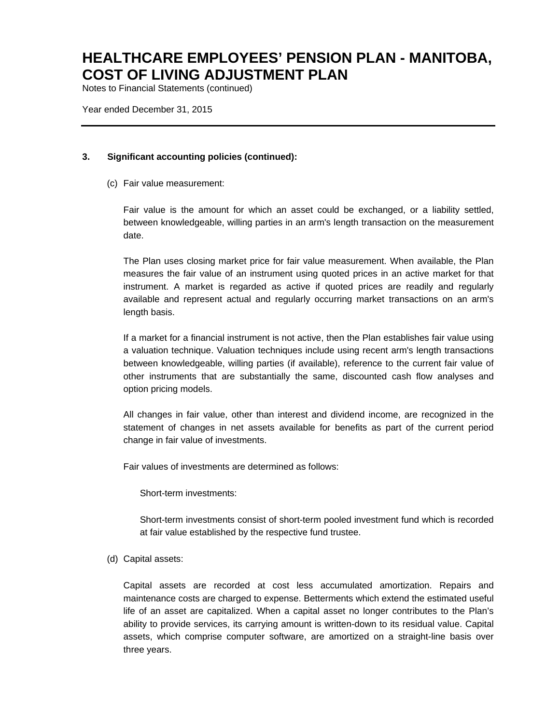Notes to Financial Statements (continued)

Year ended December 31, 2015

### **3. Significant accounting policies (continued):**

(c) Fair value measurement:

Fair value is the amount for which an asset could be exchanged, or a liability settled, between knowledgeable, willing parties in an arm's length transaction on the measurement date.

The Plan uses closing market price for fair value measurement. When available, the Plan measures the fair value of an instrument using quoted prices in an active market for that instrument. A market is regarded as active if quoted prices are readily and regularly available and represent actual and regularly occurring market transactions on an arm's length basis.

If a market for a financial instrument is not active, then the Plan establishes fair value using a valuation technique. Valuation techniques include using recent arm's length transactions between knowledgeable, willing parties (if available), reference to the current fair value of other instruments that are substantially the same, discounted cash flow analyses and option pricing models.

All changes in fair value, other than interest and dividend income, are recognized in the statement of changes in net assets available for benefits as part of the current period change in fair value of investments.

Fair values of investments are determined as follows:

Short-term investments:

Short-term investments consist of short-term pooled investment fund which is recorded at fair value established by the respective fund trustee.

(d) Capital assets:

Capital assets are recorded at cost less accumulated amortization. Repairs and maintenance costs are charged to expense. Betterments which extend the estimated useful life of an asset are capitalized. When a capital asset no longer contributes to the Plan's ability to provide services, its carrying amount is written-down to its residual value. Capital assets, which comprise computer software, are amortized on a straight-line basis over three years.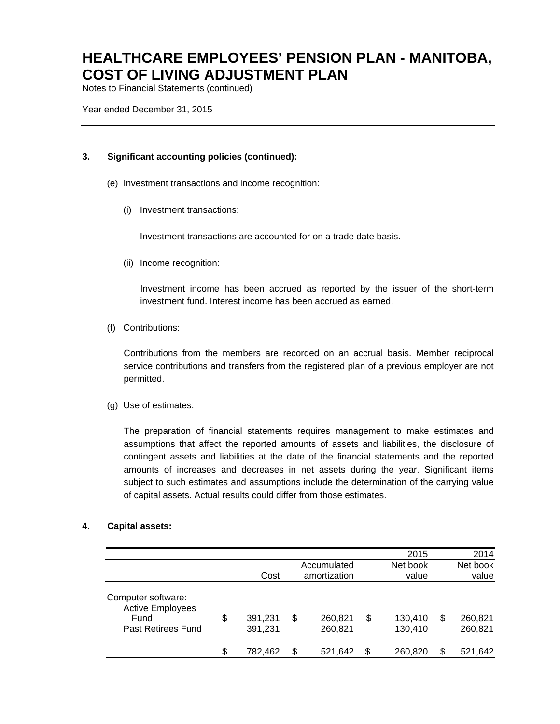Notes to Financial Statements (continued)

Year ended December 31, 2015

#### **3. Significant accounting policies (continued):**

- (e) Investment transactions and income recognition:
	- (i) Investment transactions:

Investment transactions are accounted for on a trade date basis.

(ii) Income recognition:

Investment income has been accrued as reported by the issuer of the short-term investment fund. Interest income has been accrued as earned.

(f) Contributions:

Contributions from the members are recorded on an accrual basis. Member reciprocal service contributions and transfers from the registered plan of a previous employer are not permitted.

(g) Use of estimates:

The preparation of financial statements requires management to make estimates and assumptions that affect the reported amounts of assets and liabilities, the disclosure of contingent assets and liabilities at the date of the financial statements and the reported amounts of increases and decreases in net assets during the year. Significant items subject to such estimates and assumptions include the determination of the carrying value of capital assets. Actual results could differ from those estimates.

### **4. Capital assets:**

|                                                                             |                          |                             |    | 2015               |   | 2014               |
|-----------------------------------------------------------------------------|--------------------------|-----------------------------|----|--------------------|---|--------------------|
|                                                                             | Cost                     | Accumulated<br>amortization |    | Net book<br>value  |   | Net book<br>value  |
| Computer software:<br><b>Active Employees</b><br>Fund<br>Past Retirees Fund | \$<br>391,231<br>391,231 | \$<br>260,821<br>260,821    | S  | 130,410<br>130,410 | S | 260,821<br>260,821 |
|                                                                             | \$<br>782,462            | \$<br>521.642               | \$ | 260.820            | S | 521,642            |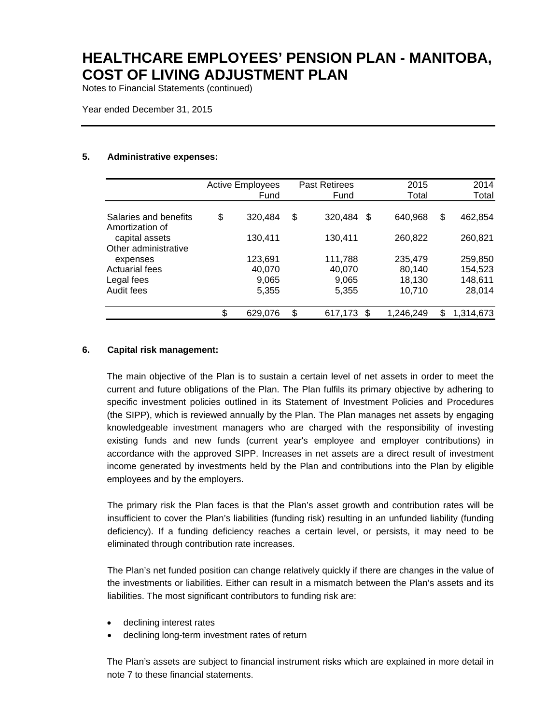Notes to Financial Statements (continued)

Year ended December 31, 2015

#### **5. Administrative expenses:**

|                       | <b>Active Employees</b> |         | <b>Past Retirees</b> |         |    | 2015      | 2014            |  |
|-----------------------|-------------------------|---------|----------------------|---------|----|-----------|-----------------|--|
|                       |                         | Fund    |                      | Fund    |    | Total     | Total           |  |
| Salaries and benefits | \$                      | 320,484 | \$                   | 320,484 | \$ | 640,968   | \$<br>462,854   |  |
| Amortization of       |                         |         |                      |         |    |           |                 |  |
| capital assets        |                         | 130,411 |                      | 130,411 |    | 260,822   | 260,821         |  |
| Other administrative  |                         |         |                      |         |    |           |                 |  |
| expenses              |                         | 123,691 |                      | 111,788 |    | 235,479   | 259,850         |  |
| <b>Actuarial fees</b> |                         | 40,070  |                      | 40,070  |    | 80,140    | 154,523         |  |
| Legal fees            |                         | 9,065   |                      | 9,065   |    | 18,130    | 148,611         |  |
| Audit fees            |                         | 5,355   |                      | 5,355   |    | 10,710    | 28,014          |  |
|                       | \$                      | 629,076 | \$                   | 617,173 | S. | 1,246,249 | \$<br>1,314,673 |  |

### **6. Capital risk management:**

The main objective of the Plan is to sustain a certain level of net assets in order to meet the current and future obligations of the Plan. The Plan fulfils its primary objective by adhering to specific investment policies outlined in its Statement of Investment Policies and Procedures (the SIPP), which is reviewed annually by the Plan. The Plan manages net assets by engaging knowledgeable investment managers who are charged with the responsibility of investing existing funds and new funds (current year's employee and employer contributions) in accordance with the approved SIPP. Increases in net assets are a direct result of investment income generated by investments held by the Plan and contributions into the Plan by eligible employees and by the employers.

The primary risk the Plan faces is that the Plan's asset growth and contribution rates will be insufficient to cover the Plan's liabilities (funding risk) resulting in an unfunded liability (funding deficiency). If a funding deficiency reaches a certain level, or persists, it may need to be eliminated through contribution rate increases.

The Plan's net funded position can change relatively quickly if there are changes in the value of the investments or liabilities. Either can result in a mismatch between the Plan's assets and its liabilities. The most significant contributors to funding risk are:

- declining interest rates
- declining long-term investment rates of return

The Plan's assets are subject to financial instrument risks which are explained in more detail in note 7 to these financial statements.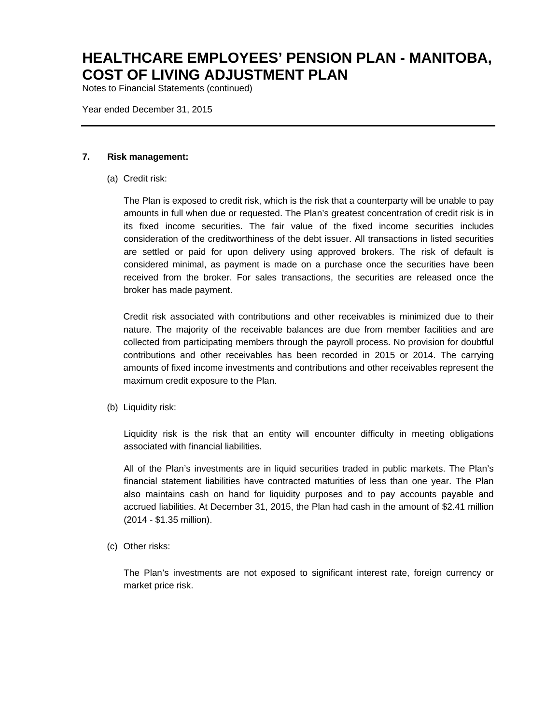Notes to Financial Statements (continued)

Year ended December 31, 2015

#### **7. Risk management:**

(a) Credit risk:

The Plan is exposed to credit risk, which is the risk that a counterparty will be unable to pay amounts in full when due or requested. The Plan's greatest concentration of credit risk is in its fixed income securities. The fair value of the fixed income securities includes consideration of the creditworthiness of the debt issuer. All transactions in listed securities are settled or paid for upon delivery using approved brokers. The risk of default is considered minimal, as payment is made on a purchase once the securities have been received from the broker. For sales transactions, the securities are released once the broker has made payment.

Credit risk associated with contributions and other receivables is minimized due to their nature. The majority of the receivable balances are due from member facilities and are collected from participating members through the payroll process. No provision for doubtful contributions and other receivables has been recorded in 2015 or 2014. The carrying amounts of fixed income investments and contributions and other receivables represent the maximum credit exposure to the Plan.

(b) Liquidity risk:

Liquidity risk is the risk that an entity will encounter difficulty in meeting obligations associated with financial liabilities.

All of the Plan's investments are in liquid securities traded in public markets. The Plan's financial statement liabilities have contracted maturities of less than one year. The Plan also maintains cash on hand for liquidity purposes and to pay accounts payable and accrued liabilities. At December 31, 2015, the Plan had cash in the amount of \$2.41 million (2014 - \$1.35 million).

(c) Other risks:

The Plan's investments are not exposed to significant interest rate, foreign currency or market price risk.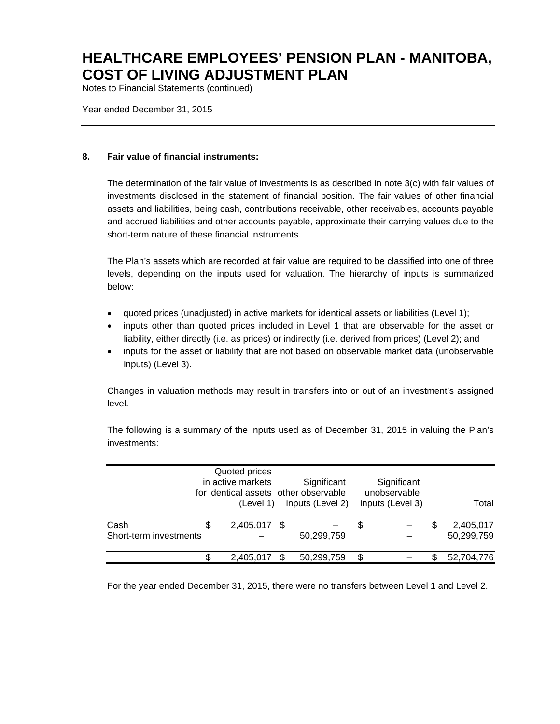Notes to Financial Statements (continued)

Year ended December 31, 2015

### **8. Fair value of financial instruments:**

The determination of the fair value of investments is as described in note 3(c) with fair values of investments disclosed in the statement of financial position. The fair values of other financial assets and liabilities, being cash, contributions receivable, other receivables, accounts payable and accrued liabilities and other accounts payable, approximate their carrying values due to the short-term nature of these financial instruments.

The Plan's assets which are recorded at fair value are required to be classified into one of three levels, depending on the inputs used for valuation. The hierarchy of inputs is summarized below:

- quoted prices (unadjusted) in active markets for identical assets or liabilities (Level 1);
- inputs other than quoted prices included in Level 1 that are observable for the asset or liability, either directly (i.e. as prices) or indirectly (i.e. derived from prices) (Level 2); and
- inputs for the asset or liability that are not based on observable market data (unobservable inputs) (Level 3).

Changes in valuation methods may result in transfers into or out of an investment's assigned level.

The following is a summary of the inputs used as of December 31, 2015 in valuing the Plan's investments:

|                                |   | Quoted prices<br>in active markets<br>(Level 1) |     | Significant<br>for identical assets other observable<br>inputs (Level 2) |     | Significant<br>unobservable<br>inputs (Level 3) | Total                   |
|--------------------------------|---|-------------------------------------------------|-----|--------------------------------------------------------------------------|-----|-------------------------------------------------|-------------------------|
| Cash<br>Short-term investments | S | 2,405,017 \$                                    |     | 50,299,759                                                               | \$. |                                                 | 2,405,017<br>50,299,759 |
|                                |   | 2,405,017                                       | \$. | 50,299,759                                                               | \$  |                                                 | 52,704,776              |

For the year ended December 31, 2015, there were no transfers between Level 1 and Level 2.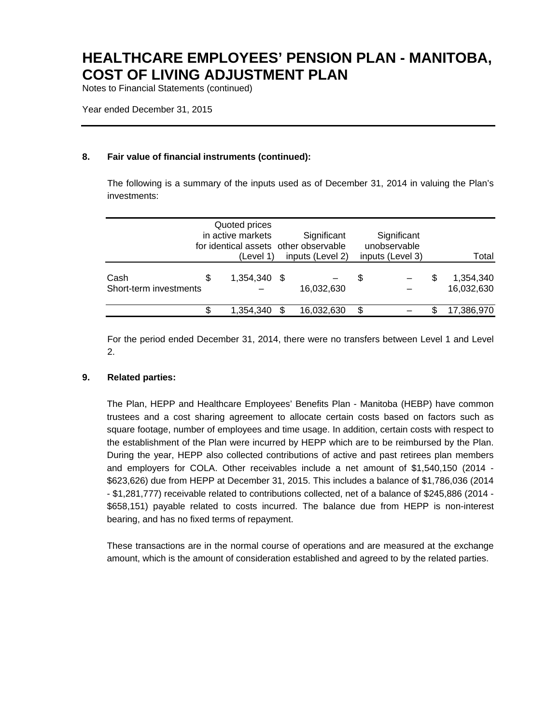Notes to Financial Statements (continued)

Year ended December 31, 2015

### **8. Fair value of financial instruments (continued):**

The following is a summary of the inputs used as of December 31, 2014 in valuing the Plan's investments:

|                                |   | Quoted prices<br>in active markets<br>for identical assets other observable<br>(Level 1) | Significant<br>inputs (Level 2) |    | Significant<br>unobservable<br>inputs (Level 3) |     | Total                   |
|--------------------------------|---|------------------------------------------------------------------------------------------|---------------------------------|----|-------------------------------------------------|-----|-------------------------|
| Cash<br>Short-term investments | S | 1,354,340 \$                                                                             | 16,032,630                      | S  |                                                 | \$. | 1,354,340<br>16,032,630 |
|                                | S | 1,354,340                                                                                | 16,032,630                      | \$ |                                                 |     | 17,386,970              |

For the period ended December 31, 2014, there were no transfers between Level 1 and Level 2.

#### **9. Related parties:**

The Plan, HEPP and Healthcare Employees' Benefits Plan - Manitoba (HEBP) have common trustees and a cost sharing agreement to allocate certain costs based on factors such as square footage, number of employees and time usage. In addition, certain costs with respect to the establishment of the Plan were incurred by HEPP which are to be reimbursed by the Plan. During the year, HEPP also collected contributions of active and past retirees plan members and employers for COLA. Other receivables include a net amount of \$1,540,150 (2014 - \$623,626) due from HEPP at December 31, 2015. This includes a balance of \$1,786,036 (2014 - \$1,281,777) receivable related to contributions collected, net of a balance of \$245,886 (2014 - \$658,151) payable related to costs incurred. The balance due from HEPP is non-interest bearing, and has no fixed terms of repayment.

These transactions are in the normal course of operations and are measured at the exchange amount, which is the amount of consideration established and agreed to by the related parties.